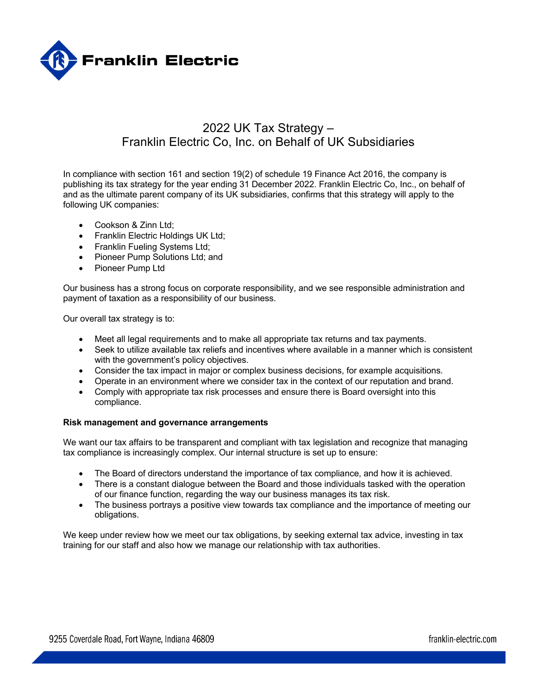

# 2022 UK Tax Strategy – Franklin Electric Co, Inc. on Behalf of UK Subsidiaries

In compliance with section 161 and section 19(2) of schedule 19 Finance Act 2016, the company is publishing its tax strategy for the year ending 31 December 2022. Franklin Electric Co, Inc., on behalf of and as the ultimate parent company of its UK subsidiaries, confirms that this strategy will apply to the following UK companies:

- Cookson & Zinn Ltd;
- Franklin Electric Holdings UK Ltd;
- Franklin Fueling Systems Ltd;
- Pioneer Pump Solutions Ltd; and
- Pioneer Pump Ltd

Our business has a strong focus on corporate responsibility, and we see responsible administration and payment of taxation as a responsibility of our business.

Our overall tax strategy is to:

- Meet all legal requirements and to make all appropriate tax returns and tax payments.
- Seek to utilize available tax reliefs and incentives where available in a manner which is consistent with the government's policy objectives.
- Consider the tax impact in major or complex business decisions, for example acquisitions.
- Operate in an environment where we consider tax in the context of our reputation and brand.
- Comply with appropriate tax risk processes and ensure there is Board oversight into this compliance.

#### **Risk management and governance arrangements**

We want our tax affairs to be transparent and compliant with tax legislation and recognize that managing tax compliance is increasingly complex. Our internal structure is set up to ensure:

- The Board of directors understand the importance of tax compliance, and how it is achieved.
- There is a constant dialogue between the Board and those individuals tasked with the operation of our finance function, regarding the way our business manages its tax risk.
- The business portrays a positive view towards tax compliance and the importance of meeting our obligations.

We keep under review how we meet our tax obligations, by seeking external tax advice, investing in tax training for our staff and also how we manage our relationship with tax authorities.